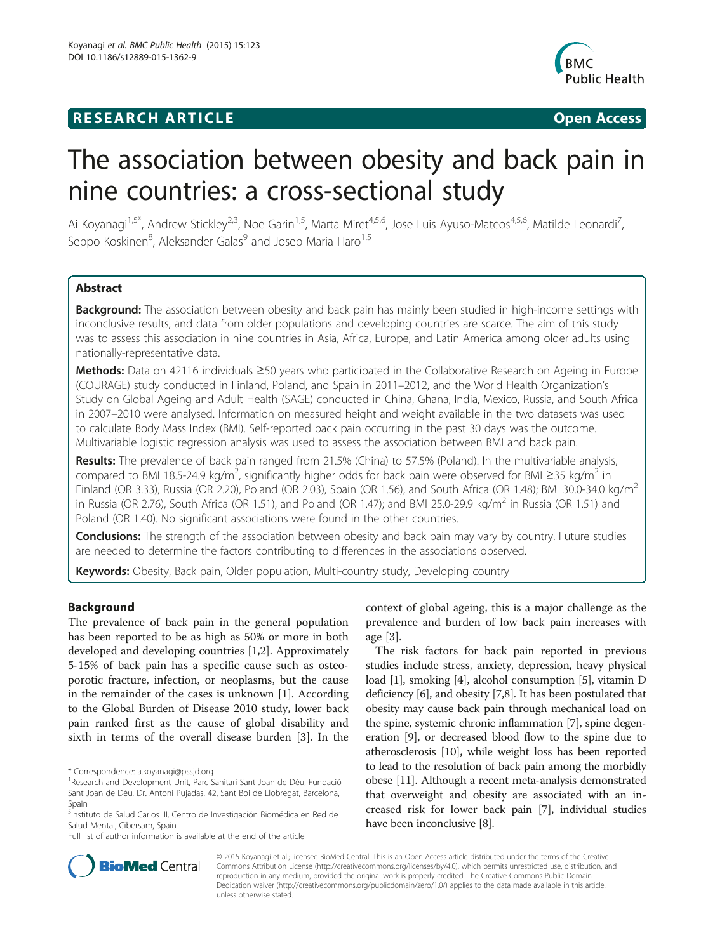## **RESEARCH ARTICLE Example 2018 12:00 Open Access**



# The association between obesity and back pain in nine countries: a cross-sectional study

Ai Koyanagi<sup>1,5\*</sup>, Andrew Stickley<sup>2,3</sup>, Noe Garin<sup>1,5</sup>, Marta Miret<sup>4,5,6</sup>, Jose Luis Ayuso-Mateos<sup>4,5,6</sup>, Matilde Leonardi<sup>7</sup>, , Seppo Koskinen<sup>8</sup>, Aleksander Galas<sup>9</sup> and Josep Maria Haro<sup>1,5</sup>

## Abstract

Background: The association between obesity and back pain has mainly been studied in high-income settings with inconclusive results, and data from older populations and developing countries are scarce. The aim of this study was to assess this association in nine countries in Asia, Africa, Europe, and Latin America among older adults using nationally-representative data.

Methods: Data on 42116 individuals ≥50 years who participated in the Collaborative Research on Ageing in Europe (COURAGE) study conducted in Finland, Poland, and Spain in 2011–2012, and the World Health Organization's Study on Global Ageing and Adult Health (SAGE) conducted in China, Ghana, India, Mexico, Russia, and South Africa in 2007–2010 were analysed. Information on measured height and weight available in the two datasets was used to calculate Body Mass Index (BMI). Self-reported back pain occurring in the past 30 days was the outcome. Multivariable logistic regression analysis was used to assess the association between BMI and back pain.

Results: The prevalence of back pain ranged from 21.5% (China) to 57.5% (Poland). In the multivariable analysis, compared to BMI 18.5-24.9 kg/m<sup>2</sup>, significantly higher odds for back pain were observed for BMI ≥35 kg/m<sup>2</sup> in Finland (OR 3.33), Russia (OR 2.20), Poland (OR 2.03), Spain (OR 1.56), and South Africa (OR 1.48); BMI 30.0-34.0 kg/m<sup>2</sup> in Russia (OR 2.76), South Africa (OR 1.51), and Poland (OR 1.47); and BMI 25.0-29.9 kg/m<sup>2</sup> in Russia (OR 1.51) and Poland (OR 1.40). No significant associations were found in the other countries.

**Conclusions:** The strength of the association between obesity and back pain may vary by country. Future studies are needed to determine the factors contributing to differences in the associations observed.

Keywords: Obesity, Back pain, Older population, Multi-country study, Developing country

## Background

The prevalence of back pain in the general population has been reported to be as high as 50% or more in both developed and developing countries [[1,](#page-7-0)[2\]](#page-8-0). Approximately 5-15% of back pain has a specific cause such as osteoporotic fracture, infection, or neoplasms, but the cause in the remainder of the cases is unknown [[1\]](#page-7-0). According to the Global Burden of Disease 2010 study, lower back pain ranked first as the cause of global disability and sixth in terms of the overall disease burden [\[3](#page-8-0)]. In the

Full list of author information is available at the end of the article

context of global ageing, this is a major challenge as the prevalence and burden of low back pain increases with age [\[3](#page-8-0)].

The risk factors for back pain reported in previous studies include stress, anxiety, depression, heavy physical load [[1\]](#page-7-0), smoking [\[4\]](#page-8-0), alcohol consumption [\[5\]](#page-8-0), vitamin D deficiency [\[6\]](#page-8-0), and obesity [\[7,8](#page-8-0)]. It has been postulated that obesity may cause back pain through mechanical load on the spine, systemic chronic inflammation [\[7\]](#page-8-0), spine degeneration [\[9\]](#page-8-0), or decreased blood flow to the spine due to atherosclerosis [\[10](#page-8-0)], while weight loss has been reported to lead to the resolution of back pain among the morbidly obese [\[11\]](#page-8-0). Although a recent meta-analysis demonstrated that overweight and obesity are associated with an increased risk for lower back pain [[7](#page-8-0)], individual studies have been inconclusive [\[8\]](#page-8-0).



© 2015 Koyanagi et al.; licensee BioMed Central. This is an Open Access article distributed under the terms of the Creative Commons Attribution License [\(http://creativecommons.org/licenses/by/4.0\)](http://creativecommons.org/licenses/by/4.0), which permits unrestricted use, distribution, and reproduction in any medium, provided the original work is properly credited. The Creative Commons Public Domain Dedication waiver [\(http://creativecommons.org/publicdomain/zero/1.0/](http://creativecommons.org/publicdomain/zero/1.0/)) applies to the data made available in this article, unless otherwise stated.

<sup>\*</sup> Correspondence: [a.koyanagi@pssjd.org](mailto:a.koyanagi@pssjd.org) <sup>1</sup>

<sup>&</sup>lt;sup>1</sup> Research and Development Unit, Parc Sanitari Sant Joan de Déu, Fundació Sant Joan de Déu, Dr. Antoni Pujadas, 42, Sant Boi de Llobregat, Barcelona, Spain

<sup>&</sup>lt;sup>5</sup>Instituto de Salud Carlos III, Centro de Investigación Biomédica en Red de Salud Mental, Cibersam, Spain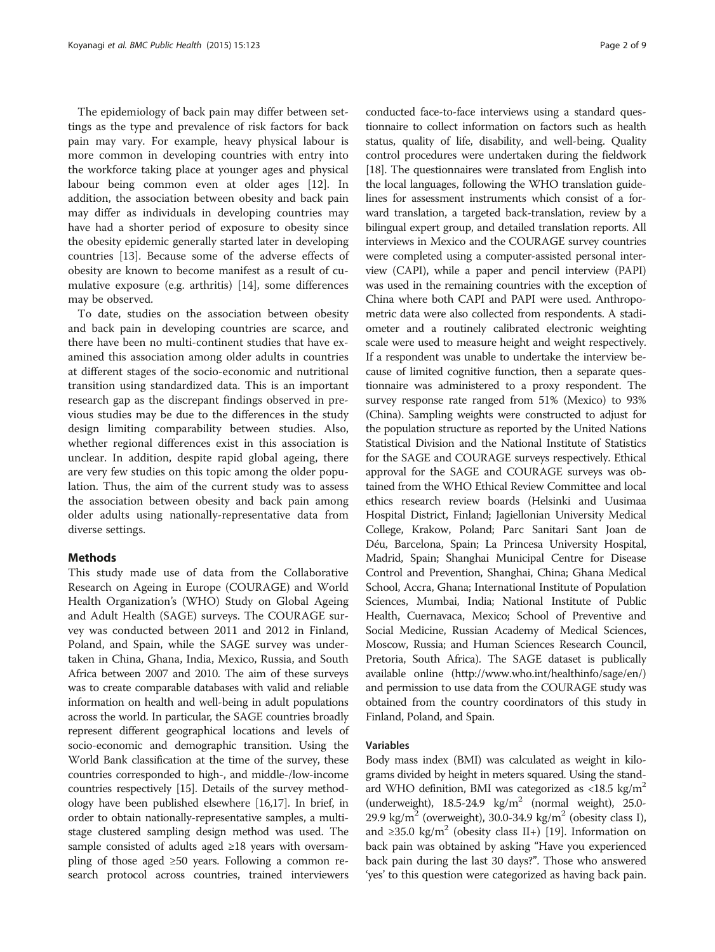The epidemiology of back pain may differ between settings as the type and prevalence of risk factors for back pain may vary. For example, heavy physical labour is more common in developing countries with entry into the workforce taking place at younger ages and physical labour being common even at older ages [[12](#page-8-0)]. In addition, the association between obesity and back pain may differ as individuals in developing countries may have had a shorter period of exposure to obesity since the obesity epidemic generally started later in developing countries [[13](#page-8-0)]. Because some of the adverse effects of obesity are known to become manifest as a result of cumulative exposure (e.g. arthritis) [\[14](#page-8-0)], some differences may be observed.

To date, studies on the association between obesity and back pain in developing countries are scarce, and there have been no multi-continent studies that have examined this association among older adults in countries at different stages of the socio-economic and nutritional transition using standardized data. This is an important research gap as the discrepant findings observed in previous studies may be due to the differences in the study design limiting comparability between studies. Also, whether regional differences exist in this association is unclear. In addition, despite rapid global ageing, there are very few studies on this topic among the older population. Thus, the aim of the current study was to assess the association between obesity and back pain among older adults using nationally-representative data from diverse settings.

#### Methods

This study made use of data from the Collaborative Research on Ageing in Europe (COURAGE) and World Health Organization's (WHO) Study on Global Ageing and Adult Health (SAGE) surveys. The COURAGE survey was conducted between 2011 and 2012 in Finland, Poland, and Spain, while the SAGE survey was undertaken in China, Ghana, India, Mexico, Russia, and South Africa between 2007 and 2010. The aim of these surveys was to create comparable databases with valid and reliable information on health and well-being in adult populations across the world. In particular, the SAGE countries broadly represent different geographical locations and levels of socio-economic and demographic transition. Using the World Bank classification at the time of the survey, these countries corresponded to high-, and middle-/low-income countries respectively [[15](#page-8-0)]. Details of the survey methodology have been published elsewhere [[16,17\]](#page-8-0). In brief, in order to obtain nationally-representative samples, a multistage clustered sampling design method was used. The sample consisted of adults aged ≥18 years with oversampling of those aged ≥50 years. Following a common research protocol across countries, trained interviewers

conducted face-to-face interviews using a standard questionnaire to collect information on factors such as health status, quality of life, disability, and well-being. Quality control procedures were undertaken during the fieldwork [[18](#page-8-0)]. The questionnaires were translated from English into the local languages, following the WHO translation guidelines for assessment instruments which consist of a forward translation, a targeted back-translation, review by a bilingual expert group, and detailed translation reports. All interviews in Mexico and the COURAGE survey countries were completed using a computer-assisted personal interview (CAPI), while a paper and pencil interview (PAPI) was used in the remaining countries with the exception of China where both CAPI and PAPI were used. Anthropometric data were also collected from respondents. A stadiometer and a routinely calibrated electronic weighting scale were used to measure height and weight respectively. If a respondent was unable to undertake the interview because of limited cognitive function, then a separate questionnaire was administered to a proxy respondent. The survey response rate ranged from 51% (Mexico) to 93% (China). Sampling weights were constructed to adjust for the population structure as reported by the United Nations Statistical Division and the National Institute of Statistics for the SAGE and COURAGE surveys respectively. Ethical approval for the SAGE and COURAGE surveys was obtained from the WHO Ethical Review Committee and local ethics research review boards (Helsinki and Uusimaa Hospital District, Finland; Jagiellonian University Medical College, Krakow, Poland; Parc Sanitari Sant Joan de Déu, Barcelona, Spain; La Princesa University Hospital, Madrid, Spain; Shanghai Municipal Centre for Disease Control and Prevention, Shanghai, China; Ghana Medical School, Accra, Ghana; International Institute of Population Sciences, Mumbai, India; National Institute of Public Health, Cuernavaca, Mexico; School of Preventive and Social Medicine, Russian Academy of Medical Sciences, Moscow, Russia; and Human Sciences Research Council, Pretoria, South Africa). The SAGE dataset is publically available online [\(http://www.who.int/healthinfo/sage/en/](http://www.who.int/healthinfo/sage/en/)) and permission to use data from the COURAGE study was obtained from the country coordinators of this study in Finland, Poland, and Spain.

#### Variables

Body mass index (BMI) was calculated as weight in kilograms divided by height in meters squared. Using the standard WHO definition, BMI was categorized as  $\langle 18.5 \text{ kg/m}^2 \rangle$ (underweight),  $18.5-24.9$  kg/m<sup>2</sup> (normal weight),  $25.0-$ 29.9 kg/m<sup>2</sup> (overweight), 30.0-34.9 kg/m<sup>2</sup> (obesity class I), and ≥35.0 kg/m<sup>2</sup> (obesity class II+) [\[19\]](#page-8-0). Information on back pain was obtained by asking "Have you experienced back pain during the last 30 days?". Those who answered 'yes' to this question were categorized as having back pain.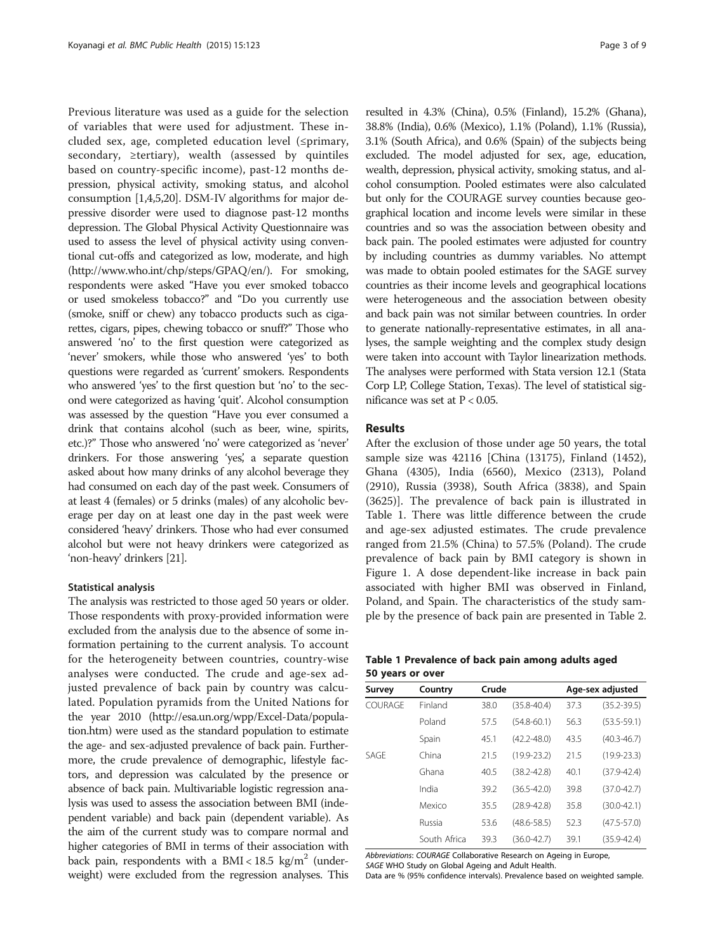Previous literature was used as a guide for the selection of variables that were used for adjustment. These included sex, age, completed education level (≤primary, secondary, ≥tertiary), wealth (assessed by quintiles based on country-specific income), past-12 months depression, physical activity, smoking status, and alcohol consumption [[1](#page-7-0)[,4,5,20\]](#page-8-0). DSM-IV algorithms for major depressive disorder were used to diagnose past-12 months depression. The Global Physical Activity Questionnaire was used to assess the level of physical activity using conventional cut-offs and categorized as low, moderate, and high (<http://www.who.int/chp/steps/GPAQ/en/>). For smoking, respondents were asked "Have you ever smoked tobacco or used smokeless tobacco?" and "Do you currently use (smoke, sniff or chew) any tobacco products such as cigarettes, cigars, pipes, chewing tobacco or snuff?" Those who answered 'no' to the first question were categorized as 'never' smokers, while those who answered 'yes' to both questions were regarded as 'current' smokers. Respondents who answered 'yes' to the first question but 'no' to the second were categorized as having 'quit'. Alcohol consumption was assessed by the question "Have you ever consumed a drink that contains alcohol (such as beer, wine, spirits, etc.)?" Those who answered 'no' were categorized as 'never' drinkers. For those answering 'yes', a separate question asked about how many drinks of any alcohol beverage they had consumed on each day of the past week. Consumers of at least 4 (females) or 5 drinks (males) of any alcoholic beverage per day on at least one day in the past week were considered 'heavy' drinkers. Those who had ever consumed alcohol but were not heavy drinkers were categorized as 'non-heavy' drinkers [\[21\]](#page-8-0).

#### Statistical analysis

The analysis was restricted to those aged 50 years or older. Those respondents with proxy-provided information were excluded from the analysis due to the absence of some information pertaining to the current analysis. To account for the heterogeneity between countries, country-wise analyses were conducted. The crude and age-sex adjusted prevalence of back pain by country was calculated. Population pyramids from the United Nations for the year 2010 [\(http://esa.un.org/wpp/Excel-Data/popula](http://esa.un.org/wpp/Excel-Data/population.htm)[tion.htm](http://esa.un.org/wpp/Excel-Data/population.htm)) were used as the standard population to estimate the age- and sex-adjusted prevalence of back pain. Furthermore, the crude prevalence of demographic, lifestyle factors, and depression was calculated by the presence or absence of back pain. Multivariable logistic regression analysis was used to assess the association between BMI (independent variable) and back pain (dependent variable). As the aim of the current study was to compare normal and higher categories of BMI in terms of their association with back pain, respondents with a BMI <  $18.5 \text{ kg/m}^2$  (underweight) were excluded from the regression analyses. This

resulted in 4.3% (China), 0.5% (Finland), 15.2% (Ghana), 38.8% (India), 0.6% (Mexico), 1.1% (Poland), 1.1% (Russia), 3.1% (South Africa), and 0.6% (Spain) of the subjects being excluded. The model adjusted for sex, age, education, wealth, depression, physical activity, smoking status, and alcohol consumption. Pooled estimates were also calculated but only for the COURAGE survey counties because geographical location and income levels were similar in these countries and so was the association between obesity and back pain. The pooled estimates were adjusted for country by including countries as dummy variables. No attempt was made to obtain pooled estimates for the SAGE survey countries as their income levels and geographical locations were heterogeneous and the association between obesity and back pain was not similar between countries. In order to generate nationally-representative estimates, in all analyses, the sample weighting and the complex study design were taken into account with Taylor linearization methods. The analyses were performed with Stata version 12.1 (Stata Corp LP, College Station, Texas). The level of statistical significance was set at  $P < 0.05$ .

#### Results

After the exclusion of those under age 50 years, the total sample size was 42116 [China (13175), Finland (1452), Ghana (4305), India (6560), Mexico (2313), Poland (2910), Russia (3938), South Africa (3838), and Spain (3625)]. The prevalence of back pain is illustrated in Table 1. There was little difference between the crude and age-sex adjusted estimates. The crude prevalence ranged from 21.5% (China) to 57.5% (Poland). The crude prevalence of back pain by BMI category is shown in Figure [1](#page-3-0). A dose dependent-like increase in back pain associated with higher BMI was observed in Finland, Poland, and Spain. The characteristics of the study sample by the presence of back pain are presented in Table [2](#page-4-0).

| Table 1 Prevalence of back pain among adults aged |  |  |  |
|---------------------------------------------------|--|--|--|
| 50 years or over                                  |  |  |  |

| Survey  | Country      | Crude |                 |      | Age-sex adjusted |
|---------|--------------|-------|-----------------|------|------------------|
| COURAGE | Finland      | 38.0  | $(35.8 - 40.4)$ | 37.3 | $(35.2 - 39.5)$  |
|         | Poland       | 57.5  | $(54.8 - 60.1)$ | 56.3 | $(53.5 - 59.1)$  |
|         | Spain        | 45.1  | $(42.2 - 48.0)$ | 43.5 | $(40.3 - 46.7)$  |
| SAGF    | China        | 21.5  | $(19.9 - 23.2)$ | 21.5 | $(19.9 - 23.3)$  |
|         | Ghana        | 40.5  | $(38.2 - 42.8)$ | 40.1 | (37.9-42.4)      |
|         | India        | 39.2  | $(36.5 - 42.0)$ | 39.8 | $(37.0 - 42.7)$  |
|         | Mexico       | 35.5  | $(28.9 - 42.8)$ | 35.8 | $(30.0 - 42.1)$  |
|         | Russia       | 53.6  | $(48.6 - 58.5)$ | 52.3 | $(47.5 - 57.0)$  |
|         | South Africa | 39.3  | $(36.0 - 42.7)$ | 39.1 | $(35.9 - 42.4)$  |

Abbreviations: COURAGE Collaborative Research on Ageing in Europe, SAGE WHO Study on Global Ageing and Adult Health.

Data are % (95% confidence intervals). Prevalence based on weighted sample.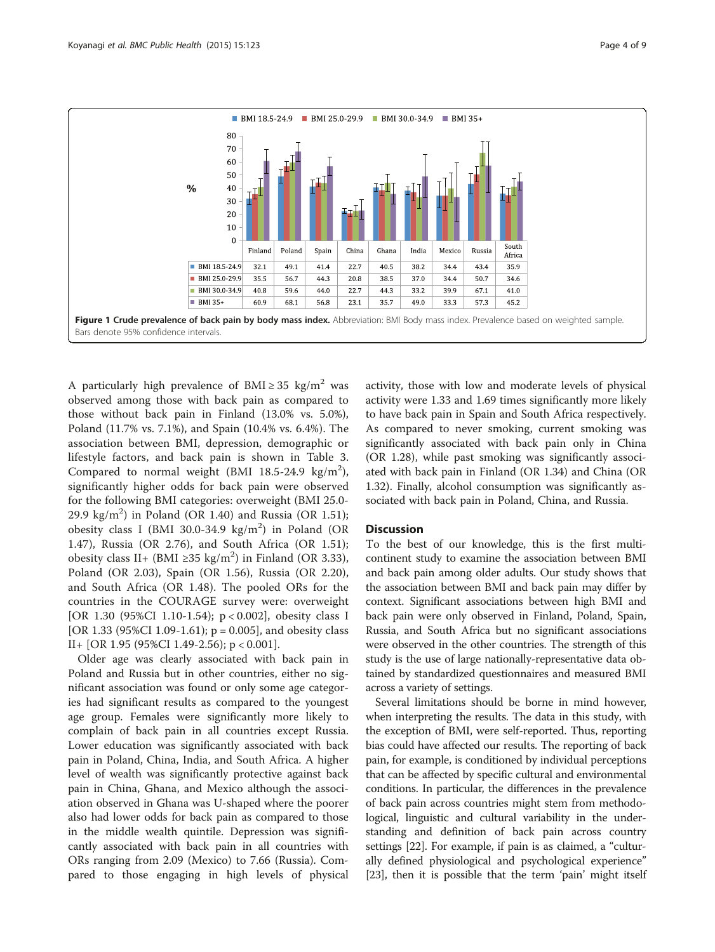<span id="page-3-0"></span>

A particularly high prevalence of BMI  $\geq$  35 kg/m<sup>2</sup> was observed among those with back pain as compared to those without back pain in Finland (13.0% vs. 5.0%), Poland (11.7% vs. 7.1%), and Spain (10.4% vs. 6.4%). The association between BMI, depression, demographic or lifestyle factors, and back pain is shown in Table [3](#page-5-0). Compared to normal weight (BMI 18.5-24.9 kg/m<sup>2</sup>), significantly higher odds for back pain were observed for the following BMI categories: overweight (BMI 25.0- 29.9  $\text{kg/m}^2$ ) in Poland (OR 1.40) and Russia (OR 1.51); obesity class I (BMI 30.0-34.9  $\text{kg/m}^2$ ) in Poland (OR 1.47), Russia (OR 2.76), and South Africa (OR 1.51); obesity class II+ (BMI ≥35 kg/m<sup>2</sup>) in Finland (OR 3.33), Poland (OR 2.03), Spain (OR 1.56), Russia (OR 2.20), and South Africa (OR 1.48). The pooled ORs for the countries in the COURAGE survey were: overweight [OR 1.30 (95%CI 1.10-1.54); p < 0.002], obesity class I [OR 1.33 (95%CI 1.09-1.61); p = 0.005], and obesity class II+ [OR 1.95 (95%CI 1.49-2.56);  $p < 0.001$ ].

Older age was clearly associated with back pain in Poland and Russia but in other countries, either no significant association was found or only some age categories had significant results as compared to the youngest age group. Females were significantly more likely to complain of back pain in all countries except Russia. Lower education was significantly associated with back pain in Poland, China, India, and South Africa. A higher level of wealth was significantly protective against back pain in China, Ghana, and Mexico although the association observed in Ghana was U-shaped where the poorer also had lower odds for back pain as compared to those in the middle wealth quintile. Depression was significantly associated with back pain in all countries with ORs ranging from 2.09 (Mexico) to 7.66 (Russia). Compared to those engaging in high levels of physical activity, those with low and moderate levels of physical activity were 1.33 and 1.69 times significantly more likely to have back pain in Spain and South Africa respectively. As compared to never smoking, current smoking was significantly associated with back pain only in China (OR 1.28), while past smoking was significantly associated with back pain in Finland (OR 1.34) and China (OR 1.32). Finally, alcohol consumption was significantly associated with back pain in Poland, China, and Russia.

### **Discussion**

To the best of our knowledge, this is the first multicontinent study to examine the association between BMI and back pain among older adults. Our study shows that the association between BMI and back pain may differ by context. Significant associations between high BMI and back pain were only observed in Finland, Poland, Spain, Russia, and South Africa but no significant associations were observed in the other countries. The strength of this study is the use of large nationally-representative data obtained by standardized questionnaires and measured BMI across a variety of settings.

Several limitations should be borne in mind however, when interpreting the results. The data in this study, with the exception of BMI, were self-reported. Thus, reporting bias could have affected our results. The reporting of back pain, for example, is conditioned by individual perceptions that can be affected by specific cultural and environmental conditions. In particular, the differences in the prevalence of back pain across countries might stem from methodological, linguistic and cultural variability in the understanding and definition of back pain across country settings [\[22\]](#page-8-0). For example, if pain is as claimed, a "culturally defined physiological and psychological experience" [[23](#page-8-0)], then it is possible that the term 'pain' might itself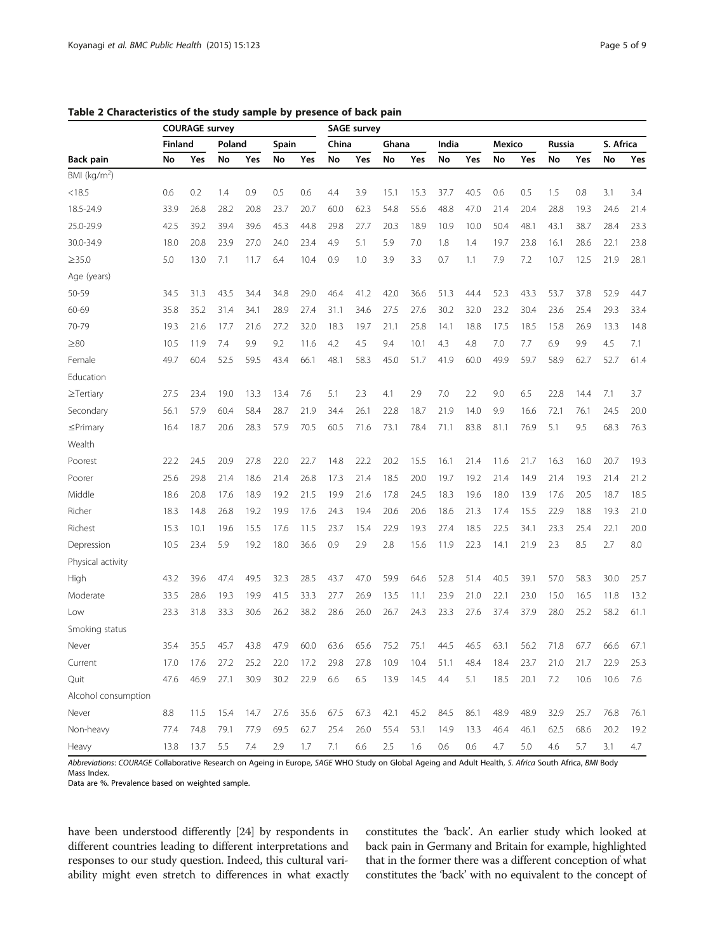|                     |         | <b>COURAGE survey</b> |        |      |       | <b>SAGE survey</b> |       |      |       |      |       |      |        |      |        |      |           |      |
|---------------------|---------|-----------------------|--------|------|-------|--------------------|-------|------|-------|------|-------|------|--------|------|--------|------|-----------|------|
|                     | Finland |                       | Poland |      | Spain |                    | China |      | Ghana |      | India |      | Mexico |      | Russia |      | S. Africa |      |
| <b>Back pain</b>    | No      | Yes                   | No     | Yes  | No    | Yes                | No    | Yes  | No    | Yes  | No    | Yes  | No     | Yes  | No     | Yes  | No        | Yes  |
| BMI ( $kg/m2$ )     |         |                       |        |      |       |                    |       |      |       |      |       |      |        |      |        |      |           |      |
| < 18.5              | 0.6     | 0.2                   | 1.4    | 0.9  | 0.5   | 0.6                | 4.4   | 3.9  | 15.1  | 15.3 | 37.7  | 40.5 | 0.6    | 0.5  | 1.5    | 0.8  | 3.1       | 3.4  |
| 18.5-24.9           | 33.9    | 26.8                  | 28.2   | 20.8 | 23.7  | 20.7               | 60.0  | 62.3 | 54.8  | 55.6 | 48.8  | 47.0 | 21.4   | 20.4 | 28.8   | 19.3 | 24.6      | 21.4 |
| 25.0-29.9           | 42.5    | 39.2                  | 39.4   | 39.6 | 45.3  | 44.8               | 29.8  | 27.7 | 20.3  | 18.9 | 10.9  | 10.0 | 50.4   | 48.1 | 43.1   | 38.7 | 28.4      | 23.3 |
| 30.0-34.9           | 18.0    | 20.8                  | 23.9   | 27.0 | 24.0  | 23.4               | 4.9   | 5.1  | 5.9   | 7.0  | 1.8   | 1.4  | 19.7   | 23.8 | 16.1   | 28.6 | 22.1      | 23.8 |
| $\geq 35.0$         | 5.0     | 13.0                  | 7.1    | 11.7 | 6.4   | 10.4               | 0.9   | 1.0  | 3.9   | 3.3  | 0.7   | 1.1  | 7.9    | 7.2  | 10.7   | 12.5 | 21.9      | 28.1 |
| Age (years)         |         |                       |        |      |       |                    |       |      |       |      |       |      |        |      |        |      |           |      |
| 50-59               | 34.5    | 31.3                  | 43.5   | 34.4 | 34.8  | 29.0               | 46.4  | 41.2 | 42.0  | 36.6 | 51.3  | 44.4 | 52.3   | 43.3 | 53.7   | 37.8 | 52.9      | 44.7 |
| 60-69               | 35.8    | 35.2                  | 31.4   | 34.1 | 28.9  | 27.4               | 31.1  | 34.6 | 27.5  | 27.6 | 30.2  | 32.0 | 23.2   | 30.4 | 23.6   | 25.4 | 29.3      | 33.4 |
| 70-79               | 19.3    | 21.6                  | 17.7   | 21.6 | 27.2  | 32.0               | 18.3  | 19.7 | 21.1  | 25.8 | 14.1  | 18.8 | 17.5   | 18.5 | 15.8   | 26.9 | 13.3      | 14.8 |
| $\geq 80$           | 10.5    | 11.9                  | 7.4    | 9.9  | 9.2   | 11.6               | 4.2   | 4.5  | 9.4   | 10.1 | 4.3   | 4.8  | 7.0    | 7.7  | 6.9    | 9.9  | 4.5       | 7.1  |
| Female              | 49.7    | 60.4                  | 52.5   | 59.5 | 43.4  | 66.1               | 48.1  | 58.3 | 45.0  | 51.7 | 41.9  | 60.0 | 49.9   | 59.7 | 58.9   | 62.7 | 52.7      | 61.4 |
| Education           |         |                       |        |      |       |                    |       |      |       |      |       |      |        |      |        |      |           |      |
| $\geq$ Tertiary     | 27.5    | 23.4                  | 19.0   | 13.3 | 13.4  | 7.6                | 5.1   | 2.3  | 4.1   | 2.9  | 7.0   | 2.2  | 9.0    | 6.5  | 22.8   | 14.4 | 7.1       | 3.7  |
| Secondary           | 56.1    | 57.9                  | 60.4   | 58.4 | 28.7  | 21.9               | 34.4  | 26.1 | 22.8  | 18.7 | 21.9  | 14.0 | 9.9    | 16.6 | 72.1   | 76.1 | 24.5      | 20.0 |
| $\leq$ Primary      | 16.4    | 18.7                  | 20.6   | 28.3 | 57.9  | 70.5               | 60.5  | 71.6 | 73.1  | 78.4 | 71.1  | 83.8 | 81.1   | 76.9 | 5.1    | 9.5  | 68.3      | 76.3 |
| Wealth              |         |                       |        |      |       |                    |       |      |       |      |       |      |        |      |        |      |           |      |
| Poorest             | 22.2    | 24.5                  | 20.9   | 27.8 | 22.0  | 22.7               | 14.8  | 22.2 | 20.2  | 15.5 | 16.1  | 21.4 | 11.6   | 21.7 | 16.3   | 16.0 | 20.7      | 19.3 |
| Poorer              | 25.6    | 29.8                  | 21.4   | 18.6 | 21.4  | 26.8               | 17.3  | 21.4 | 18.5  | 20.0 | 19.7  | 19.2 | 21.4   | 14.9 | 21.4   | 19.3 | 21.4      | 21.2 |
| Middle              | 18.6    | 20.8                  | 17.6   | 18.9 | 19.2  | 21.5               | 19.9  | 21.6 | 17.8  | 24.5 | 18.3  | 19.6 | 18.0   | 13.9 | 17.6   | 20.5 | 18.7      | 18.5 |
| Richer              | 18.3    | 14.8                  | 26.8   | 19.2 | 19.9  | 17.6               | 24.3  | 19.4 | 20.6  | 20.6 | 18.6  | 21.3 | 17.4   | 15.5 | 22.9   | 18.8 | 19.3      | 21.0 |
| Richest             | 15.3    | 10.1                  | 19.6   | 15.5 | 17.6  | 11.5               | 23.7  | 15.4 | 22.9  | 19.3 | 27.4  | 18.5 | 22.5   | 34.1 | 23.3   | 25.4 | 22.1      | 20.0 |
| Depression          | 10.5    | 23.4                  | 5.9    | 19.2 | 18.0  | 36.6               | 0.9   | 2.9  | 2.8   | 15.6 | 11.9  | 22.3 | 14.1   | 21.9 | 2.3    | 8.5  | 2.7       | 8.0  |
| Physical activity   |         |                       |        |      |       |                    |       |      |       |      |       |      |        |      |        |      |           |      |
| High                | 43.2    | 39.6                  | 47.4   | 49.5 | 32.3  | 28.5               | 43.7  | 47.0 | 59.9  | 64.6 | 52.8  | 51.4 | 40.5   | 39.1 | 57.0   | 58.3 | 30.0      | 25.7 |
| Moderate            | 33.5    | 28.6                  | 19.3   | 19.9 | 41.5  | 33.3               | 27.7  | 26.9 | 13.5  | 11.1 | 23.9  | 21.0 | 22.1   | 23.0 | 15.0   | 16.5 | 11.8      | 13.2 |
| Low                 | 23.3    | 31.8                  | 33.3   | 30.6 | 26.2  | 38.2               | 28.6  | 26.0 | 26.7  | 24.3 | 23.3  | 27.6 | 37.4   | 37.9 | 28.0   | 25.2 | 58.2      | 61.1 |
| Smoking status      |         |                       |        |      |       |                    |       |      |       |      |       |      |        |      |        |      |           |      |
| Never               | 35.4    | 35.5                  | 45.7   | 43.8 | 47.9  | 60.0               | 63.6  | 65.6 | 75.2  | 75.1 | 44.5  | 46.5 | 63.1   | 56.2 | 71.8   | 67.7 | 66.6      | 67.1 |
| Current             | 17.0    | 17.6                  | 27.2   | 25.2 | 22.0  | 17.2               | 29.8  | 27.8 | 10.9  | 10.4 | 51.1  | 48.4 | 18.4   | 23.7 | 21.0   | 21.7 | 22.9      | 25.3 |
| Quit                | 47.6    | 46.9                  | 27.1   | 30.9 | 30.2  | 22.9               | 6.6   | 6.5  | 13.9  | 14.5 | 4.4   | 5.1  | 18.5   | 20.1 | 7.2    | 10.6 | 10.6      | 7.6  |
| Alcohol consumption |         |                       |        |      |       |                    |       |      |       |      |       |      |        |      |        |      |           |      |
| Never               | 8.8     | 11.5                  | 15.4   | 14.7 | 27.6  | 35.6               | 67.5  | 67.3 | 42.1  | 45.2 | 84.5  | 86.1 | 48.9   | 48.9 | 32.9   | 25.7 | 76.8      | 76.1 |
| Non-heavy           | 77.4    | 74.8                  | 79.1   | 77.9 | 69.5  | 62.7               | 25.4  | 26.0 | 55.4  | 53.1 | 14.9  | 13.3 | 46.4   | 46.1 | 62.5   | 68.6 | 20.2      | 19.2 |
| Heavy               | 13.8    | 13.7                  | 5.5    | 7.4  | 2.9   | 1.7                | 7.1   | 6.6  | 2.5   | 1.6  | 0.6   | 0.6  | 4.7    | 5.0  | 4.6    | 5.7  | 3.1       | 4.7  |

## <span id="page-4-0"></span>Table 2 Characteristics of the study sample by presence of back pain

Abbreviations: COURAGE Collaborative Research on Ageing in Europe, SAGE WHO Study on Global Ageing and Adult Health, S. Africa South Africa, BMI Body Mass Index.

Data are %. Prevalence based on weighted sample.

have been understood differently [\[24](#page-8-0)] by respondents in different countries leading to different interpretations and responses to our study question. Indeed, this cultural variability might even stretch to differences in what exactly constitutes the 'back'. An earlier study which looked at back pain in Germany and Britain for example, highlighted that in the former there was a different conception of what constitutes the 'back' with no equivalent to the concept of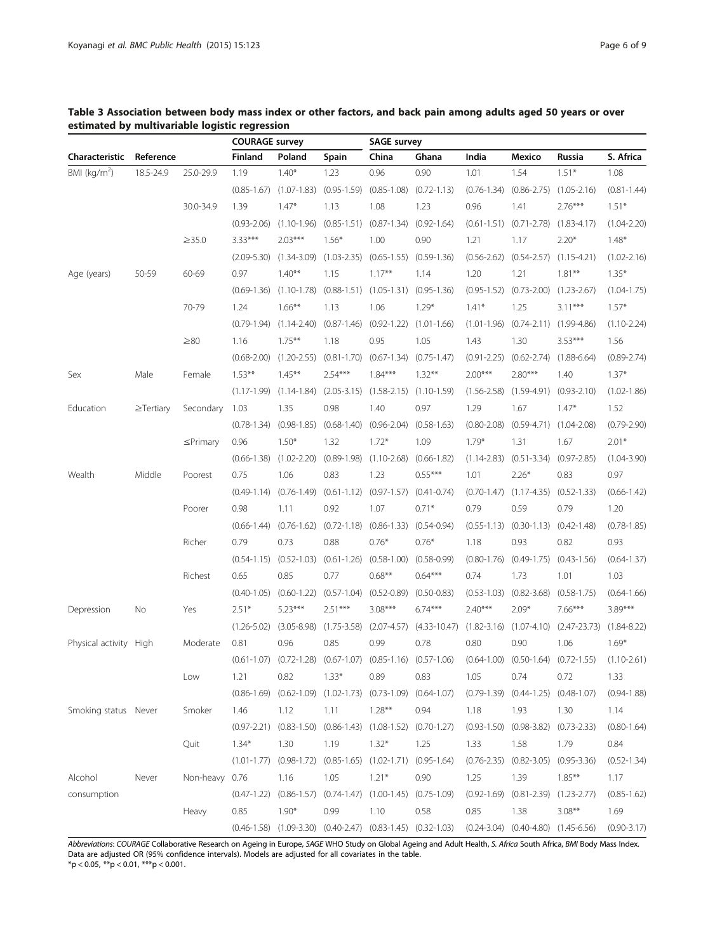<span id="page-5-0"></span>

| Table 3 Association between body mass index or other factors, and back pain among adults aged 50 years or over |  |  |  |  |
|----------------------------------------------------------------------------------------------------------------|--|--|--|--|
| estimated by multivariable logistic regression                                                                 |  |  |  |  |

|                        |                 |                |                 | <b>COURAGE survey</b>                                                 |                                           | <b>SAGE survey</b>                        |                  |                 |                                           |                  |                 |  |  |
|------------------------|-----------------|----------------|-----------------|-----------------------------------------------------------------------|-------------------------------------------|-------------------------------------------|------------------|-----------------|-------------------------------------------|------------------|-----------------|--|--|
| Characteristic         | Reference       |                | Finland         | Poland                                                                | Spain                                     | China                                     | Ghana            | India           | Mexico                                    | <b>Russia</b>    | S. Africa       |  |  |
| BMI ( $kg/m2$ )        | 18.5-24.9       | 25.0-29.9      | 1.19            | $1.40*$                                                               | 1.23                                      | 0.96                                      | 0.90             | 1.01            | 1.54                                      | $1.51*$          | 1.08            |  |  |
|                        |                 |                | $(0.85 - 1.67)$ | $(1.07 - 1.83)$                                                       | $(0.95 - 1.59)$                           | $(0.85 - 1.08)$                           | $(0.72 - 1.13)$  | $(0.76 - 1.34)$ | $(0.86 - 2.75)$                           | $(1.05 - 2.16)$  | $(0.81 - 1.44)$ |  |  |
|                        |                 | 30.0-34.9      | 1.39            | $1.47*$                                                               | 1.13                                      | 1.08                                      | 1.23             | 0.96            | 1.41                                      | $2.76***$        | $1.51*$         |  |  |
|                        |                 |                | $(0.93 - 2.06)$ | $(1.10-1.96)$                                                         | $(0.85 - 1.51)$                           | $(0.87 - 1.34)$                           | $(0.92 - 1.64)$  | $(0.61 - 1.51)$ | $(0.71 - 2.78)$                           | $(1.83 - 4.17)$  | $(1.04 - 2.20)$ |  |  |
|                        |                 | $\geq$ 35.0    | $3.33***$       | $2.03***$                                                             | $1.56*$                                   | 1.00                                      | 0.90             | 1.21            | 1.17                                      | $2.20*$          | $1.48*$         |  |  |
|                        |                 |                | $(2.09 - 5.30)$ | $(1.34 - 3.09)$                                                       | $(1.03 - 2.35)$                           | $(0.65 - 1.55)$                           | $(0.59 - 1.36)$  | $(0.56 - 2.62)$ | $(0.54 - 2.57)$                           | $(1.15 - 4.21)$  | $(1.02 - 2.16)$ |  |  |
| Age (years)            | 50-59           | 60-69          | 0.97            | $1.40***$                                                             | 1.15                                      | $1.17***$                                 | 1.14             | 1.20            | 1.21                                      | $1.81***$        | $1.35*$         |  |  |
|                        |                 |                | $(0.69 - 1.36)$ | $(1.10 - 1.78)$                                                       | $(0.88 - 1.51)$                           | $(1.05 - 1.31)$                           | $(0.95 - 1.36)$  | $(0.95 - 1.52)$ | $(0.73 - 2.00)$                           | $(1.23 - 2.67)$  | $(1.04 - 1.75)$ |  |  |
|                        |                 | 70-79          | 1.24            | $1.66***$                                                             | 1.13                                      | 1.06                                      | $1.29*$          | $1.41*$         | 1.25                                      | $3.11***$        | $1.57*$         |  |  |
|                        |                 |                | $(0.79 - 1.94)$ | $(1.14 - 2.40)$                                                       | $(0.87 - 1.46)$                           | $(0.92 - 1.22)$                           | $(1.01 - 1.66)$  | $(1.01 - 1.96)$ | $(0.74 - 2.11)$                           | $(1.99 - 4.86)$  | $(1.10 - 2.24)$ |  |  |
|                        |                 | ${\geq}80$     | 1.16            | $1.75***$                                                             | 1.18                                      | 0.95                                      | 1.05             | 1.43            | 1.30                                      | $3.53***$        | 1.56            |  |  |
|                        |                 |                | $(0.68 - 2.00)$ | $(1.20 - 2.55)$                                                       | $(0.81 - 1.70)$                           | $(0.67 - 1.34)$                           | $(0.75 - 1.47)$  | $(0.91 - 2.25)$ | $(0.62 - 2.74)$                           | $(1.88 - 6.64)$  | $(0.89 - 2.74)$ |  |  |
| Sex                    | Male            | Female         | $1.53***$       | $1.45***$                                                             | $2.54***$                                 | $1.84***$                                 | $1.32***$        | $2.00***$       | $2.80***$                                 | 1.40             | $1.37*$         |  |  |
|                        |                 |                | $(1.17 - 1.99)$ | $(1.14 - 1.84)$                                                       | $(2.05 - 3.15)$                           | $(1.58 - 2.15)$                           | $(1.10 - 1.59)$  | $(1.56 - 2.58)$ | $(1.59 - 4.91)$                           | $(0.93 - 2.10)$  | $(1.02 - 1.86)$ |  |  |
| Education              | $\geq$ Tertiary | Secondary      | 1.03            | 1.35                                                                  | 0.98                                      | 1.40                                      | 0.97             | 1.29            | 1.67                                      | $1.47*$          | 1.52            |  |  |
|                        |                 |                | $(0.78 - 1.34)$ | $(0.98 - 1.85)$                                                       | $(0.68 - 1.40)$                           | $(0.96 - 2.04)$                           | $(0.58 - 1.63)$  | $(0.80 - 2.08)$ | $(0.59 - 4.71)$                           | $(1.04 - 2.08)$  | $(0.79 - 2.90)$ |  |  |
|                        |                 | $\leq$ Primary | 0.96            | $1.50*$                                                               | 1.32                                      | $1.72*$                                   | 1.09             | $1.79*$         | 1.31                                      | 1.67             | $2.01*$         |  |  |
|                        |                 |                | $(0.66 - 1.38)$ | $(1.02 - 2.20)$                                                       | $(0.89 - 1.98)$                           | $(1.10 - 2.68)$                           | $(0.66 - 1.82)$  | $(1.14 - 2.83)$ | $(0.51 - 3.34)$                           | $(0.97 - 2.85)$  | $(1.04 - 3.90)$ |  |  |
| Wealth                 | Middle          | Poorest        | 0.75            | 1.06                                                                  | 0.83                                      | 1.23                                      | $0.55***$        | 1.01            | $2.26*$                                   | 0.83             | 0.97            |  |  |
|                        |                 |                | $(0.49 - 1.14)$ | $(0.76 - 1.49)$                                                       | $(0.61 - 1.12)$                           | $(0.97 - 1.57)$                           | $(0.41 - 0.74)$  | $(0.70 - 1.47)$ | $(1.17 - 4.35)$                           | $(0.52 - 1.33)$  | $(0.66 - 1.42)$ |  |  |
|                        |                 | Poorer         | 0.98            | 1.11                                                                  | 0.92                                      | 1.07                                      | $0.71*$          | 0.79            | 0.59                                      | 0.79             | 1.20            |  |  |
|                        |                 |                | $(0.66 - 1.44)$ | $(0.76 - 1.62)$                                                       | $(0.72 - 1.18)$                           | $(0.86 - 1.33)$                           | $(0.54 - 0.94)$  | $(0.55 - 1.13)$ | $(0.30 - 1.13)$                           | $(0.42 - 1.48)$  | $(0.78 - 1.85)$ |  |  |
|                        |                 | Richer         | 0.79            | 0.73                                                                  | 0.88                                      | $0.76*$                                   | $0.76*$          | 1.18            | 0.93                                      | 0.82             | 0.93            |  |  |
|                        |                 |                | $(0.54 - 1.15)$ | $(0.52 - 1.03)$                                                       | $(0.61 - 1.26)$                           | $(0.58 - 1.00)$                           | $(0.58 - 0.99)$  | $(0.80 - 1.76)$ | $(0.49 - 1.75)$                           | $(0.43 - 1.56)$  | $(0.64 - 1.37)$ |  |  |
|                        |                 | Richest        | 0.65            | 0.85                                                                  | 0.77                                      | $0.68***$                                 | $0.64***$        | 0.74            | 1.73                                      | 1.01             | 1.03            |  |  |
|                        |                 |                | $(0.40 - 1.05)$ | $(0.60 - 1.22)$                                                       | $(0.57 - 1.04)$                           | $(0.52 - 0.89)$                           | $(0.50 - 0.83)$  | $(0.53 - 1.03)$ | $(0.82 - 3.68)$                           | $(0.58 - 1.75)$  | $(0.64 - 1.66)$ |  |  |
| Depression             | No              | Yes            | $2.51*$         | $5.23***$                                                             | $2.51***$                                 | $3.08***$                                 | $6.74***$        | $2.40***$       | $2.09*$                                   | $7.66***$        | 3.89***         |  |  |
|                        |                 |                | $(1.26 - 5.02)$ | $(3.05 - 8.98)$                                                       | $(1.75 - 3.58)$                           | $(2.07 - 4.57)$                           | $(4.33 - 10.47)$ | $(1.82 - 3.16)$ | $(1.07 - 4.10)$                           | $(2.47 - 23.73)$ | $(1.84 - 8.22)$ |  |  |
| Physical activity High |                 | Moderate       | 0.81            | 0.96                                                                  | 0.85                                      | 0.99                                      | 0.78             | 0.80            | 0.90                                      | 1.06             | $1.69*$         |  |  |
|                        |                 |                |                 | $(0.61 - 1.07)$ $(0.72 - 1.28)$                                       |                                           | $(0.67-1.07)$ $(0.85-1.16)$ $(0.57-1.06)$ |                  |                 | $(0.64 - 1.00)$ $(0.50 - 1.64)$           | $(0.72 - 1.55)$  | $(1.10 - 2.61)$ |  |  |
|                        |                 | Low            | 1.21            | 0.82                                                                  | $1.33*$                                   | 0.89                                      | 0.83             | 1.05            | 0.74                                      | 0.72             | 1.33            |  |  |
|                        |                 |                |                 | $(0.86-1.69)$ $(0.62-1.09)$ $(1.02-1.73)$ $(0.73-1.09)$ $(0.64-1.07)$ |                                           |                                           |                  |                 | $(0.79-1.39)$ $(0.44-1.25)$ $(0.48-1.07)$ |                  | $(0.94 - 1.88)$ |  |  |
| Smoking status Never   |                 | Smoker         | 1.46            | 1.12                                                                  | 1.11                                      | $1.28***$                                 | 0.94             | 1.18            | 1.93                                      | 1.30             | 1.14            |  |  |
|                        |                 |                | $(0.97 - 2.21)$ |                                                                       | $(0.83-1.50)$ $(0.86-1.43)$ $(1.08-1.52)$ |                                           | $(0.70 - 1.27)$  |                 | $(0.93-1.50)$ $(0.98-3.82)$               | $(0.73 - 2.33)$  | $(0.80 - 1.64)$ |  |  |
|                        |                 | Quit           | $1.34*$         | 1.30                                                                  | 1.19                                      | $1.32*$                                   | 1.25             | 1.33            | 1.58                                      | 1.79             | 0.84            |  |  |
|                        |                 |                | $(1.01 - 1.77)$ | $(0.98 - 1.72)$                                                       | $(0.85 - 1.65)$                           | $(1.02 - 1.71)$                           | $(0.95 - 1.64)$  | $(0.76 - 2.35)$ | $(0.82 - 3.05)$                           | $(0.95 - 3.36)$  | $(0.52 - 1.34)$ |  |  |
| Alcohol                | Never           | Non-heavy 0.76 |                 | 1.16                                                                  | 1.05                                      | $1.21*$                                   | 0.90             | 1.25            | 1.39                                      | $1.85***$        | 1.17            |  |  |
| consumption            |                 |                | $(0.47 - 1.22)$ | $(0.86 - 1.57)$                                                       | $(0.74 - 1.47)$                           | $(1.00-1.45)$                             | $(0.75 - 1.09)$  | $(0.92 - 1.69)$ | $(0.81 - 2.39)$                           | $(1.23 - 2.77)$  | $(0.85 - 1.62)$ |  |  |
|                        |                 | Heavy          | 0.85            | $1.90*$                                                               | 0.99                                      | 1.10                                      | 0.58             | 0.85            | 1.38                                      | $3.08***$        | 1.69            |  |  |
|                        |                 |                |                 | $(0.46-1.58)$ $(1.09-3.30)$ $(0.40-2.47)$                             |                                           | $(0.83-1.45)$ $(0.32-1.03)$               |                  |                 | $(0.24-3.04)$ $(0.40-4.80)$ $(1.45-6.56)$ |                  | $(0.90 - 3.17)$ |  |  |

A*bbreviations: COURAGE* Collaborative Research on Ageing in Europe, SAGE WHO Study on Global Ageing and Adult Health, S. A*frica* South Africa, *BMI* Body Mass Index. Data are adjusted OR (95% confidence intervals). Models are adjusted for all covariates in the table.  $*p < 0.05$ ,  $**p < 0.01$ ,  $***p < 0.001$ .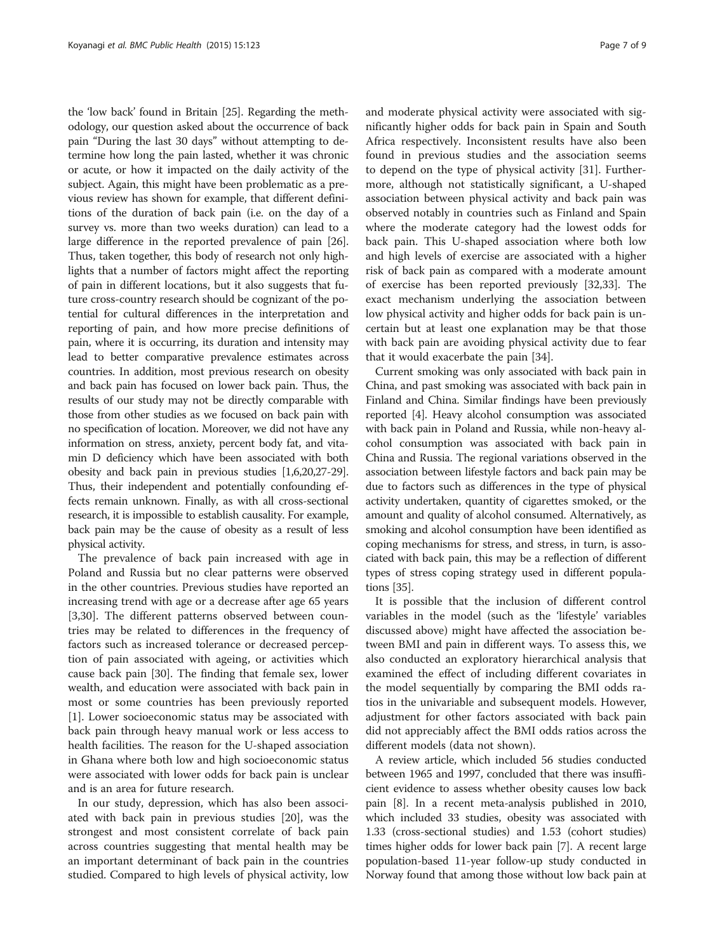the 'low back' found in Britain [\[25\]](#page-8-0). Regarding the methodology, our question asked about the occurrence of back pain "During the last 30 days" without attempting to determine how long the pain lasted, whether it was chronic or acute, or how it impacted on the daily activity of the subject. Again, this might have been problematic as a previous review has shown for example, that different definitions of the duration of back pain (i.e. on the day of a survey vs. more than two weeks duration) can lead to a large difference in the reported prevalence of pain [[26](#page-8-0)]. Thus, taken together, this body of research not only highlights that a number of factors might affect the reporting of pain in different locations, but it also suggests that future cross-country research should be cognizant of the potential for cultural differences in the interpretation and reporting of pain, and how more precise definitions of pain, where it is occurring, its duration and intensity may lead to better comparative prevalence estimates across countries. In addition, most previous research on obesity and back pain has focused on lower back pain. Thus, the results of our study may not be directly comparable with those from other studies as we focused on back pain with no specification of location. Moreover, we did not have any information on stress, anxiety, percent body fat, and vitamin D deficiency which have been associated with both obesity and back pain in previous studies [\[1,](#page-7-0)[6,20,27-29](#page-8-0)]. Thus, their independent and potentially confounding effects remain unknown. Finally, as with all cross-sectional research, it is impossible to establish causality. For example, back pain may be the cause of obesity as a result of less physical activity.

The prevalence of back pain increased with age in Poland and Russia but no clear patterns were observed in the other countries. Previous studies have reported an increasing trend with age or a decrease after age 65 years [[3,30\]](#page-8-0). The different patterns observed between countries may be related to differences in the frequency of factors such as increased tolerance or decreased perception of pain associated with ageing, or activities which cause back pain [[30\]](#page-8-0). The finding that female sex, lower wealth, and education were associated with back pain in most or some countries has been previously reported [[1\]](#page-7-0). Lower socioeconomic status may be associated with back pain through heavy manual work or less access to health facilities. The reason for the U-shaped association in Ghana where both low and high socioeconomic status were associated with lower odds for back pain is unclear and is an area for future research.

In our study, depression, which has also been associated with back pain in previous studies [\[20](#page-8-0)], was the strongest and most consistent correlate of back pain across countries suggesting that mental health may be an important determinant of back pain in the countries studied. Compared to high levels of physical activity, low

and moderate physical activity were associated with significantly higher odds for back pain in Spain and South Africa respectively. Inconsistent results have also been found in previous studies and the association seems to depend on the type of physical activity [[31\]](#page-8-0). Furthermore, although not statistically significant, a U-shaped association between physical activity and back pain was observed notably in countries such as Finland and Spain where the moderate category had the lowest odds for back pain. This U-shaped association where both low and high levels of exercise are associated with a higher risk of back pain as compared with a moderate amount of exercise has been reported previously [[32,33\]](#page-8-0). The exact mechanism underlying the association between low physical activity and higher odds for back pain is uncertain but at least one explanation may be that those with back pain are avoiding physical activity due to fear that it would exacerbate the pain [\[34\]](#page-8-0).

Current smoking was only associated with back pain in China, and past smoking was associated with back pain in Finland and China. Similar findings have been previously reported [\[4](#page-8-0)]. Heavy alcohol consumption was associated with back pain in Poland and Russia, while non-heavy alcohol consumption was associated with back pain in China and Russia. The regional variations observed in the association between lifestyle factors and back pain may be due to factors such as differences in the type of physical activity undertaken, quantity of cigarettes smoked, or the amount and quality of alcohol consumed. Alternatively, as smoking and alcohol consumption have been identified as coping mechanisms for stress, and stress, in turn, is associated with back pain, this may be a reflection of different types of stress coping strategy used in different populations [\[35\]](#page-8-0).

It is possible that the inclusion of different control variables in the model (such as the 'lifestyle' variables discussed above) might have affected the association between BMI and pain in different ways. To assess this, we also conducted an exploratory hierarchical analysis that examined the effect of including different covariates in the model sequentially by comparing the BMI odds ratios in the univariable and subsequent models. However, adjustment for other factors associated with back pain did not appreciably affect the BMI odds ratios across the different models (data not shown).

A review article, which included 56 studies conducted between 1965 and 1997, concluded that there was insufficient evidence to assess whether obesity causes low back pain [[8](#page-8-0)]. In a recent meta-analysis published in 2010, which included 33 studies, obesity was associated with 1.33 (cross-sectional studies) and 1.53 (cohort studies) times higher odds for lower back pain [\[7\]](#page-8-0). A recent large population-based 11-year follow-up study conducted in Norway found that among those without low back pain at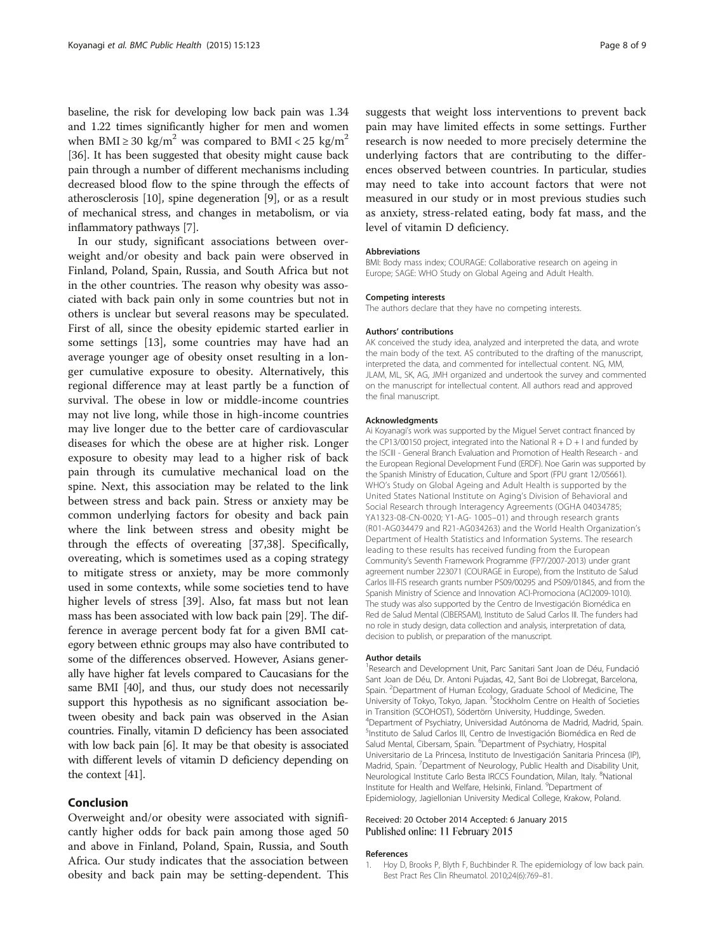<span id="page-7-0"></span>baseline, the risk for developing low back pain was 1.34 and 1.22 times significantly higher for men and women when BMI  $\geq$  30 kg/m<sup>2</sup> was compared to BMI < 25 kg/m<sup>2</sup> [[36](#page-8-0)]. It has been suggested that obesity might cause back pain through a number of different mechanisms including decreased blood flow to the spine through the effects of atherosclerosis [\[10\]](#page-8-0), spine degeneration [\[9\]](#page-8-0), or as a result of mechanical stress, and changes in metabolism, or via inflammatory pathways [[7](#page-8-0)].

In our study, significant associations between overweight and/or obesity and back pain were observed in Finland, Poland, Spain, Russia, and South Africa but not in the other countries. The reason why obesity was associated with back pain only in some countries but not in others is unclear but several reasons may be speculated. First of all, since the obesity epidemic started earlier in some settings [\[13\]](#page-8-0), some countries may have had an average younger age of obesity onset resulting in a longer cumulative exposure to obesity. Alternatively, this regional difference may at least partly be a function of survival. The obese in low or middle-income countries may not live long, while those in high-income countries may live longer due to the better care of cardiovascular diseases for which the obese are at higher risk. Longer exposure to obesity may lead to a higher risk of back pain through its cumulative mechanical load on the spine. Next, this association may be related to the link between stress and back pain. Stress or anxiety may be common underlying factors for obesity and back pain where the link between stress and obesity might be through the effects of overeating [\[37,38\]](#page-8-0). Specifically, overeating, which is sometimes used as a coping strategy to mitigate stress or anxiety, may be more commonly used in some contexts, while some societies tend to have higher levels of stress [\[39](#page-8-0)]. Also, fat mass but not lean mass has been associated with low back pain [[29](#page-8-0)]. The difference in average percent body fat for a given BMI category between ethnic groups may also have contributed to some of the differences observed. However, Asians generally have higher fat levels compared to Caucasians for the same BMI [[40](#page-8-0)], and thus, our study does not necessarily support this hypothesis as no significant association between obesity and back pain was observed in the Asian countries. Finally, vitamin D deficiency has been associated with low back pain [[6](#page-8-0)]. It may be that obesity is associated with different levels of vitamin D deficiency depending on the context [[41\]](#page-8-0).

## Conclusion

Overweight and/or obesity were associated with significantly higher odds for back pain among those aged 50 and above in Finland, Poland, Spain, Russia, and South Africa. Our study indicates that the association between obesity and back pain may be setting-dependent. This

suggests that weight loss interventions to prevent back pain may have limited effects in some settings. Further research is now needed to more precisely determine the underlying factors that are contributing to the differences observed between countries. In particular, studies may need to take into account factors that were not measured in our study or in most previous studies such as anxiety, stress-related eating, body fat mass, and the level of vitamin D deficiency.

#### Abbreviations

BMI: Body mass index; COURAGE: Collaborative research on ageing in Europe; SAGE: WHO Study on Global Ageing and Adult Health.

#### Competing interests

The authors declare that they have no competing interests.

#### Authors' contributions

AK conceived the study idea, analyzed and interpreted the data, and wrote the main body of the text. AS contributed to the drafting of the manuscript, interpreted the data, and commented for intellectual content. NG, MM, JLAM, ML, SK, AG, JMH organized and undertook the survey and commented on the manuscript for intellectual content. All authors read and approved the final manuscript.

#### Acknowledgments

Ai Koyanagi's work was supported by the Miguel Servet contract financed by the CP13/00150 project, integrated into the National  $R + D + I$  and funded by the ISCIII - General Branch Evaluation and Promotion of Health Research - and the European Regional Development Fund (ERDF). Noe Garin was supported by the Spanish Ministry of Education, Culture and Sport (FPU grant 12/05661). WHO's Study on Global Ageing and Adult Health is supported by the United States National Institute on Aging's Division of Behavioral and Social Research through Interagency Agreements (OGHA 04034785; YA1323-08-CN-0020; Y1-AG- 1005–01) and through research grants (R01-AG034479 and R21-AG034263) and the World Health Organization's Department of Health Statistics and Information Systems. The research leading to these results has received funding from the European Community's Seventh Framework Programme (FP7/2007-2013) under grant agreement number 223071 (COURAGE in Europe), from the Instituto de Salud Carlos III-FIS research grants number PS09/00295 and PS09/01845, and from the Spanish Ministry of Science and Innovation ACI-Promociona (ACI2009-1010). The study was also supported by the Centro de Investigación Biomédica en Red de Salud Mental (CIBERSAM), Instituto de Salud Carlos III. The funders had no role in study design, data collection and analysis, interpretation of data, decision to publish, or preparation of the manuscript.

#### Author details

<sup>1</sup> Research and Development Unit, Parc Sanitari Sant Joan de Déu, Fundació Sant Joan de Déu, Dr. Antoni Pujadas, 42, Sant Boi de Llobregat, Barcelona, Spain. <sup>2</sup>Department of Human Ecology, Graduate School of Medicine, The University of Tokyo, Tokyo, Japan. <sup>3</sup>Stockholm Centre on Health of Societies in Transition (SCOHOST), Södertörn University, Huddinge, Sweden. 4 Department of Psychiatry, Universidad Autónoma de Madrid, Madrid, Spain. 5 Instituto de Salud Carlos III, Centro de Investigación Biomédica en Red de Salud Mental, Cibersam, Spain. <sup>6</sup>Department of Psychiatry, Hospital Universitario de La Princesa, Instituto de Investigación Sanitaria Princesa (IP), Madrid, Spain. <sup>7</sup>Department of Neurology, Public Health and Disability Unit Neurological Institute Carlo Besta IRCCS Foundation, Milan, Italy. <sup>8</sup>National Institute for Health and Welfare, Helsinki, Finland. <sup>9</sup>Department of Epidemiology, Jagiellonian University Medical College, Krakow, Poland.

#### Received: 20 October 2014 Accepted: 6 January 2015 Published online: 11 February 2015

#### References

1. Hoy D, Brooks P, Blyth F, Buchbinder R. The epidemiology of low back pain. Best Pract Res Clin Rheumatol. 2010;24(6):769–81.